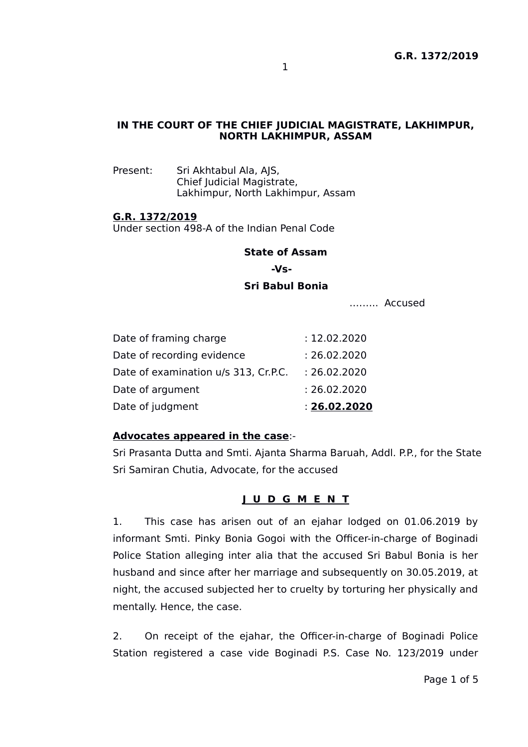## **IN THE COURT OF THE CHIEF JUDICIAL MAGISTRATE, LAKHIMPUR, NORTH LAKHIMPUR, ASSAM**

Present: Sri Akhtabul Ala, AJS, Chief Judicial Magistrate, Lakhimpur, North Lakhimpur, Assam

#### **G.R. 1372/2019**

Under section 498-A of the Indian Penal Code

#### **State of Assam**

 **-Vs-**

#### **Sri Babul Bonia**

.…….. Accused

| Date of judgment                     | : 26.02.2020 |
|--------------------------------------|--------------|
| Date of argument                     | : 26.02.2020 |
| Date of examination u/s 313, Cr.P.C. | : 26.02.2020 |
| Date of recording evidence           | : 26.02.2020 |
| Date of framing charge               | : 12.02.2020 |

#### **Advocates appeared in the case**:-

Sri Prasanta Dutta and Smti. Ajanta Sharma Baruah, Addl. P.P., for the State Sri Samiran Chutia, Advocate, for the accused

### **J U D G M E N T**

1. This case has arisen out of an ejahar lodged on 01.06.2019 by informant Smti. Pinky Bonia Gogoi with the Officer-in-charge of Boginadi Police Station alleging inter alia that the accused Sri Babul Bonia is her husband and since after her marriage and subsequently on 30.05.2019, at night, the accused subjected her to cruelty by torturing her physically and mentally. Hence, the case.

2. On receipt of the ejahar, the Officer-in-charge of Boginadi Police Station registered a case vide Boginadi P.S. Case No. 123/2019 under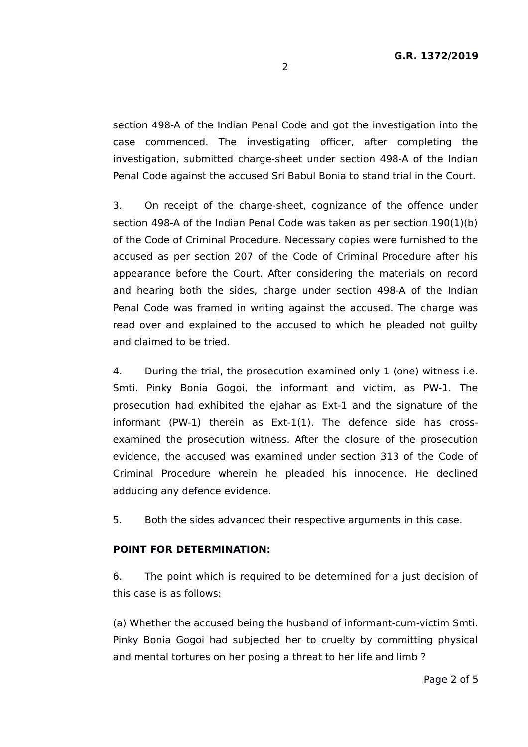section 498-A of the Indian Penal Code and got the investigation into the case commenced. The investigating officer, after completing the investigation, submitted charge-sheet under section 498-A of the Indian Penal Code against the accused Sri Babul Bonia to stand trial in the Court.

3. On receipt of the charge-sheet, cognizance of the offence under section 498-A of the Indian Penal Code was taken as per section 190(1)(b) of the Code of Criminal Procedure. Necessary copies were furnished to the accused as per section 207 of the Code of Criminal Procedure after his appearance before the Court. After considering the materials on record and hearing both the sides, charge under section 498-A of the Indian Penal Code was framed in writing against the accused. The charge was read over and explained to the accused to which he pleaded not guilty and claimed to be tried.

4. During the trial, the prosecution examined only 1 (one) witness i.e. Smti. Pinky Bonia Gogoi, the informant and victim, as PW-1. The prosecution had exhibited the ejahar as Ext-1 and the signature of the informant (PW-1) therein as Ext-1(1). The defence side has crossexamined the prosecution witness. After the closure of the prosecution evidence, the accused was examined under section 313 of the Code of Criminal Procedure wherein he pleaded his innocence. He declined adducing any defence evidence.

5. Both the sides advanced their respective arguments in this case.

## **POINT FOR DETERMINATION:**

6. The point which is required to be determined for a just decision of this case is as follows:

(a) Whether the accused being the husband of informant-cum-victim Smti. Pinky Bonia Gogoi had subjected her to cruelty by committing physical and mental tortures on her posing a threat to her life and limb ?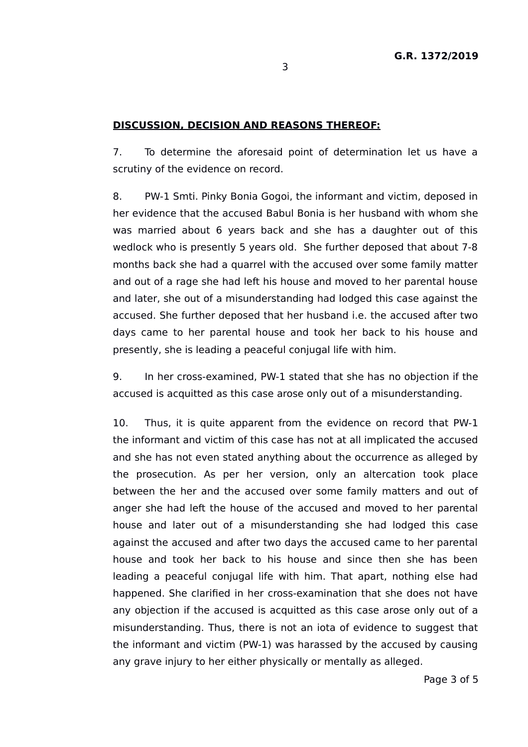## **DISCUSSION, DECISION AND REASONS THEREOF:**

7. To determine the aforesaid point of determination let us have a scrutiny of the evidence on record.

8. PW-1 Smti. Pinky Bonia Gogoi, the informant and victim, deposed in her evidence that the accused Babul Bonia is her husband with whom she was married about 6 years back and she has a daughter out of this wedlock who is presently 5 years old. She further deposed that about 7-8 months back she had a quarrel with the accused over some family matter and out of a rage she had left his house and moved to her parental house and later, she out of a misunderstanding had lodged this case against the accused. She further deposed that her husband i.e. the accused after two days came to her parental house and took her back to his house and presently, she is leading a peaceful conjugal life with him.

9. In her cross-examined, PW-1 stated that she has no objection if the accused is acquitted as this case arose only out of a misunderstanding.

10. Thus, it is quite apparent from the evidence on record that PW-1 the informant and victim of this case has not at all implicated the accused and she has not even stated anything about the occurrence as alleged by the prosecution. As per her version, only an altercation took place between the her and the accused over some family matters and out of anger she had left the house of the accused and moved to her parental house and later out of a misunderstanding she had lodged this case against the accused and after two days the accused came to her parental house and took her back to his house and since then she has been leading a peaceful conjugal life with him. That apart, nothing else had happened. She clarified in her cross-examination that she does not have any objection if the accused is acquitted as this case arose only out of a misunderstanding. Thus, there is not an iota of evidence to suggest that the informant and victim (PW-1) was harassed by the accused by causing any grave injury to her either physically or mentally as alleged.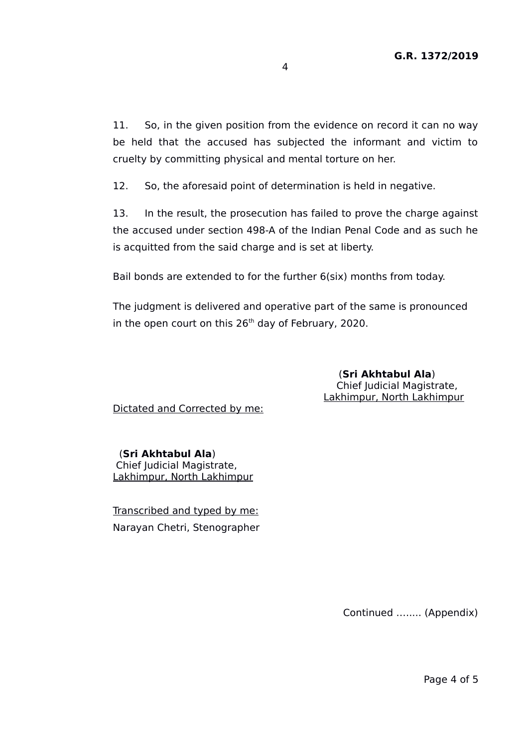11. So, in the given position from the evidence on record it can no way be held that the accused has subjected the informant and victim to cruelty by committing physical and mental torture on her.

12. So, the aforesaid point of determination is held in negative.

13. In the result, the prosecution has failed to prove the charge against the accused under section 498-A of the Indian Penal Code and as such he is acquitted from the said charge and is set at liberty.

Bail bonds are extended to for the further 6(six) months from today.

The judgment is delivered and operative part of the same is pronounced in the open court on this  $26<sup>th</sup>$  day of February, 2020.

> (**Sri Akhtabul Ala**) Chief Judicial Magistrate, Lakhimpur, North Lakhimpur

Dictated and Corrected by me:

 (**Sri Akhtabul Ala**) Chief Judicial Magistrate, Lakhimpur, North Lakhimpur

Transcribed and typed by me: Narayan Chetri, Stenographer

Continued …..... (Appendix)